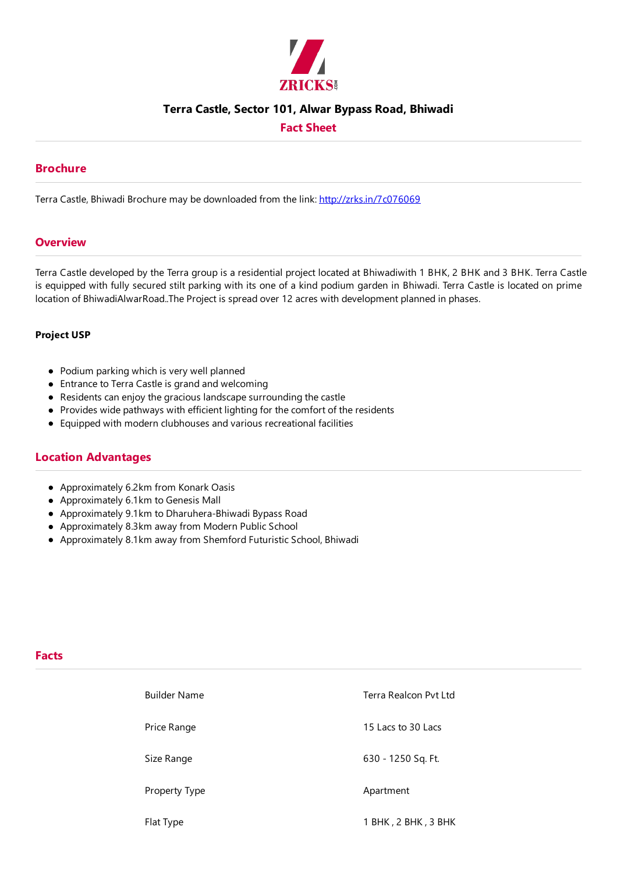

### **Terra Castle, Sector 101, Alwar Bypass Road, Bhiwadi**

## **Fact Sheet**

### **Brochure**

Terra Castle, Bhiwadi Brochure may be downloaded from the link: http://zrks.in/7c076069

#### **Overview**

Terra Castle developed by the Terra group is a residential project located at Bhiwadiwith 1 BHK, 2 BHK and 3 BHK. Terra Castle is equipped with fully secured stilt parking with its one of a kind podium garden in Bhiwadi. Terra Castle is located on prime location of BhiwadiAlwarRoad..The Project is spread over 12 acres with development planned in phases.

#### **Project USP**

- Podium parking which is very well planned
- Entrance to Terra Castle is grand and welcoming
- Residents can enjoy the gracious landscape surrounding the castle
- Provides wide pathways with efficient lighting for the comfort of the residents
- Equipped with modern clubhouses and various recreational facilities

## **Location Advantages**

- Approximately 6.2km from Konark Oasis
- Approximately 6.1km to Genesis Mall
- Approximately 9.1km to Dharuhera-Bhiwadi Bypass Road
- Approximately 8.3km away from Modern Public School
- Approximately 8.1km away from Shemford FuturisticSchool, Bhiwadi

# **Facts**

| <b>Builder Name</b> | Terra Realcon Pyt Ltd |
|---------------------|-----------------------|
| Price Range         | 15 Lacs to 30 Lacs    |
| Size Range          | 630 - 1250 Sq. Ft.    |
| Property Type       | Apartment             |
| Flat Type           | 1 BHK, 2 BHK, 3 BHK   |
|                     |                       |